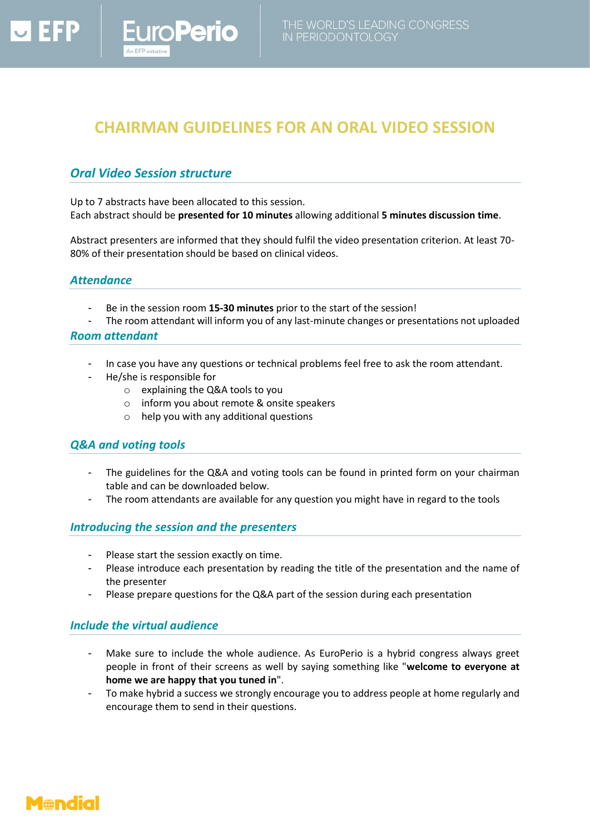

# **CHAIRMAN GUIDELINES FOR AN ORAL VIDEO SESSION**

## *Oral Video Session structure*

**oPerio** 

Up to 7 abstracts have been allocated to this session. Each abstract should be **presented for 10 minutes** allowing additional **5 minutes discussion time**.

Abstract presenters are informed that they should fulfil the video presentation criterion. At least 70- 80% of their presentation should be based on clinical videos.

#### *Attendance*

- Be in the session room **15-30 minutes** prior to the start of the session!
- The room attendant will inform you of any last-minute changes or presentations not uploaded

#### *Room attendant*

- In case you have any questions or technical problems feel free to ask the room attendant.
- He/she is responsible for
	- o explaining the Q&A tools to you
	- o inform you about remote & onsite speakers
	- o help you with any additional questions

#### *Q&A and voting tools*

- The guidelines for the Q&A and voting tools can be found in printed form on your chairman table and can be downloaded below.
- The room attendants are available for any question you might have in regard to the tools

#### *Introducing the session and the presenters*

- Please start the session exactly on time.
- Please introduce each presentation by reading the title of the presentation and the name of the presenter
- Please prepare questions for the Q&A part of the session during each presentation

#### *Include the virtual audience*

- Make sure to include the whole audience. As EuroPerio is a hybrid congress always greet people in front of their screens as well by saying something like "**welcome to everyone at home we are happy that you tuned in**".
- To make hybrid a success we strongly encourage you to address people at home regularly and encourage them to send in their questions.